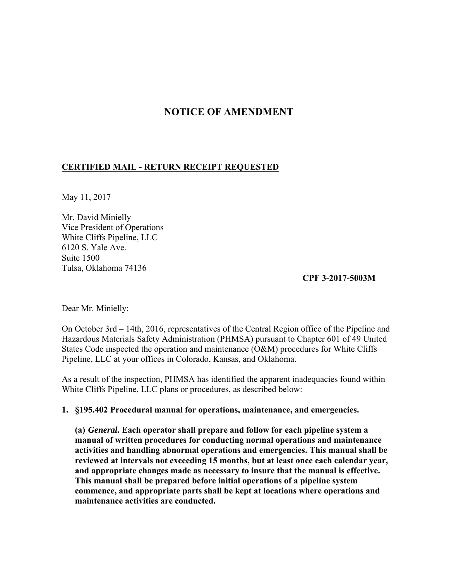# **NOTICE OF AMENDMENT**

## **CERTIFIED MAIL - RETURN RECEIPT REQUESTED**

May 11, 2017

Mr. David Minielly Vice President of Operations White Cliffs Pipeline, LLC 6120 S. Yale Ave. Suite 1500 Tulsa, Oklahoma 74136

## **CPF 3-2017-5003M**

Dear Mr. Minielly:

On October 3rd – 14th, 2016, representatives of the Central Region office of the Pipeline and Hazardous Materials Safety Administration (PHMSA) pursuant to Chapter 601 of 49 United States Code inspected the operation and maintenance (O&M) procedures for White Cliffs Pipeline, LLC at your offices in Colorado, Kansas, and Oklahoma.

As a result of the inspection, PHMSA has identified the apparent inadequacies found within White Cliffs Pipeline, LLC plans or procedures, as described below:

#### **1. §195.402 Procedural manual for operations, maintenance, and emergencies.**

**(a)** *General.* **Each operator shall prepare and follow for each pipeline system a manual of written procedures for conducting normal operations and maintenance activities and handling abnormal operations and emergencies. This manual shall be reviewed at intervals not exceeding 15 months, but at least once each calendar year, and appropriate changes made as necessary to insure that the manual is effective. This manual shall be prepared before initial operations of a pipeline system commence, and appropriate parts shall be kept at locations where operations and maintenance activities are conducted.**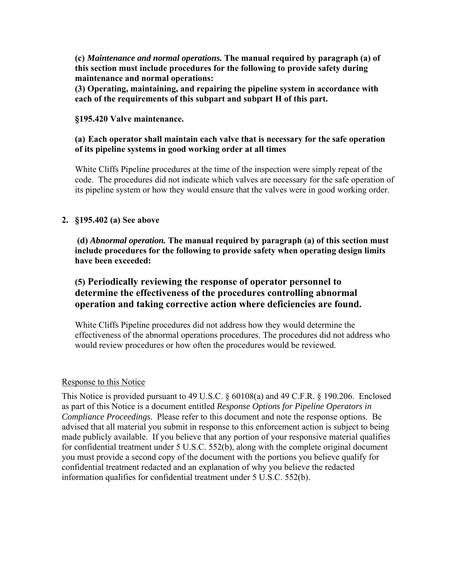**(c)** *Maintenance and normal operations.* **The manual required by paragraph (a) of this section must include procedures for the following to provide safety during maintenance and normal operations:** 

**(3) Operating, maintaining, and repairing the pipeline system in accordance with each of the requirements of this subpart and subpart H of this part.** 

#### **§195.420 Valve maintenance.**

### **(a) Each operator shall maintain each valve that is necessary for the safe operation of its pipeline systems in good working order at all times**

White Cliffs Pipeline procedures at the time of the inspection were simply repeat of the code. The procedures did not indicate which valves are necessary for the safe operation of its pipeline system or how they would ensure that the valves were in good working order.

## **2. §195.402 (a) See above**

 **(d)** *Abnormal operation.* **The manual required by paragraph (a) of this section must include procedures for the following to provide safety when operating design limits have been exceeded:** 

## **(5) Periodically reviewing the response of operator personnel to determine the effectiveness of the procedures controlling abnormal operation and taking corrective action where deficiencies are found.**

White Cliffs Pipeline procedures did not address how they would determine the effectiveness of the abnormal operations procedures. The procedures did not address who would review procedures or how often the procedures would be reviewed.

#### Response to this Notice

This Notice is provided pursuant to 49 U.S.C. § 60108(a) and 49 C.F.R. § 190.206. Enclosed as part of this Notice is a document entitled *Response Options for Pipeline Operators in Compliance Proceedings*. Please refer to this document and note the response options. Be advised that all material you submit in response to this enforcement action is subject to being made publicly available. If you believe that any portion of your responsive material qualifies for confidential treatment under 5 U.S.C. 552(b), along with the complete original document you must provide a second copy of the document with the portions you believe qualify for confidential treatment redacted and an explanation of why you believe the redacted information qualifies for confidential treatment under 5 U.S.C. 552(b).